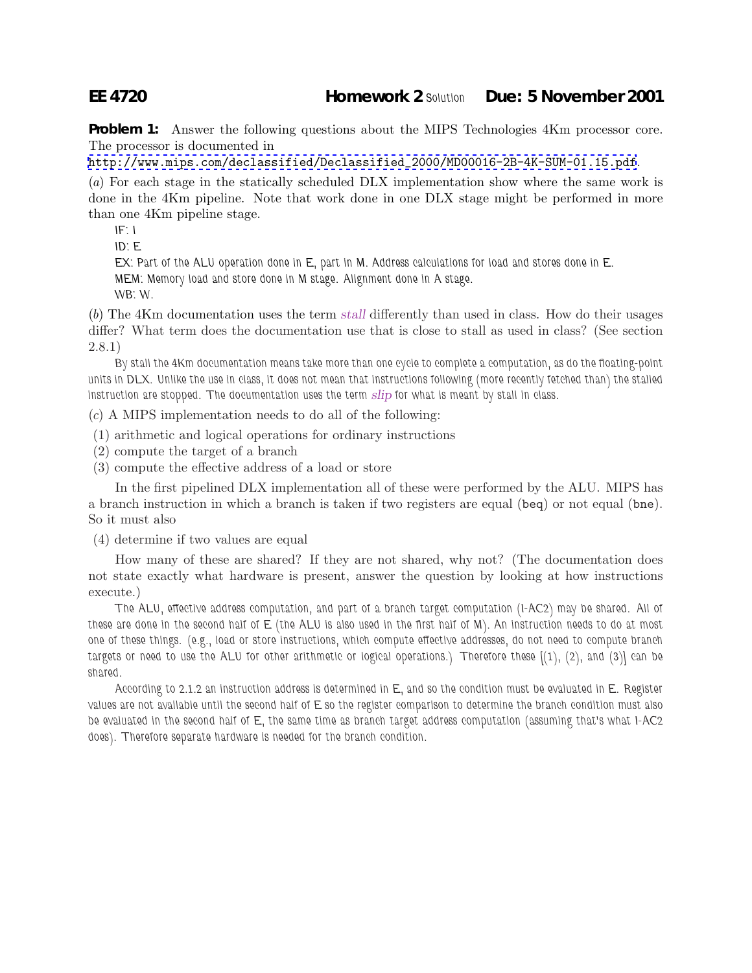## **EE 4720 Homework 2** *Solution* **Due: 5 November 2001**

**Problem 1:** Answer the following questions about the MIPS Technologies 4Km processor core. The processor is documented in

[http://www.mips.com/declassified/Declassified\\_2000/MD00016-2B-4K-SUM-01.15.pdf](http://www.mips.com/declassified/Declassified_2000/MD00016-2B-4K-SUM-01.15.pdf).

(a) For each stage in the statically scheduled DLX implementation show where the same work is done in the 4Km pipeline. Note that work done in one DLX stage might be performed in more than one 4Km pipeline stage.

*IF: I*

*ID: E*

*EX: Part of the ALU operation done in E, part in M. Address calculations for load and stores done in E. MEM: Memory load and store done in M stage. Alignment done in A stage.*

*WB: W.*

(b) The 4Km documentation uses the term *stall* differently than used in class. How do their usages differ? What term does the documentation use that is close to stall as used in class? (See section 2.8.1)

*By stall the 4Km documentation means take more than one cycle to complete a computation, as do the floating-point units in DLX. Unlike the use in class, it does not mean that instructions following (more recently fetched than) the stalled instruction are stopped. The documentation uses the term slip for what is meant by stall in class.*

(c) A MIPS implementation needs to do all of the following:

- (1) arithmetic and logical operations for ordinary instructions
- (2) compute the target of a branch
- (3) compute the effective address of a load or store

In the first pipelined DLX implementation all of these were performed by the ALU. MIPS has a branch instruction in which a branch is taken if two registers are equal (beq) or not equal (bne). So it must also

(4) determine if two values are equal

How many of these are shared? If they are not shared, why not? (The documentation does not state exactly what hardware is present, answer the question by looking at how instructions execute.)

*The ALU, effective address computation, and part of a branch target computation (I-AC2) may be shared. All of these are done in the second half of E (the ALU is also used in the first half of M). An instruction needs to do at most one of these things. (e.g., load or store instructions, which compute effective addresses, do not need to compute branch targets or need to use the ALU for other arithmetic or logical operations.) Therefore these [(1), (2), and (3)] can be shared.*

*According to 2.1.2 an instruction address is determined in E, and so the condition must be evaluated in E. Register values are not available until the second half of E so the register comparison to determine the branch condition must also be evaluated in the second half of E, the same time as branch target address computation (assuming that's what I-AC2 does). Therefore separate hardware is needed for the branch condition.*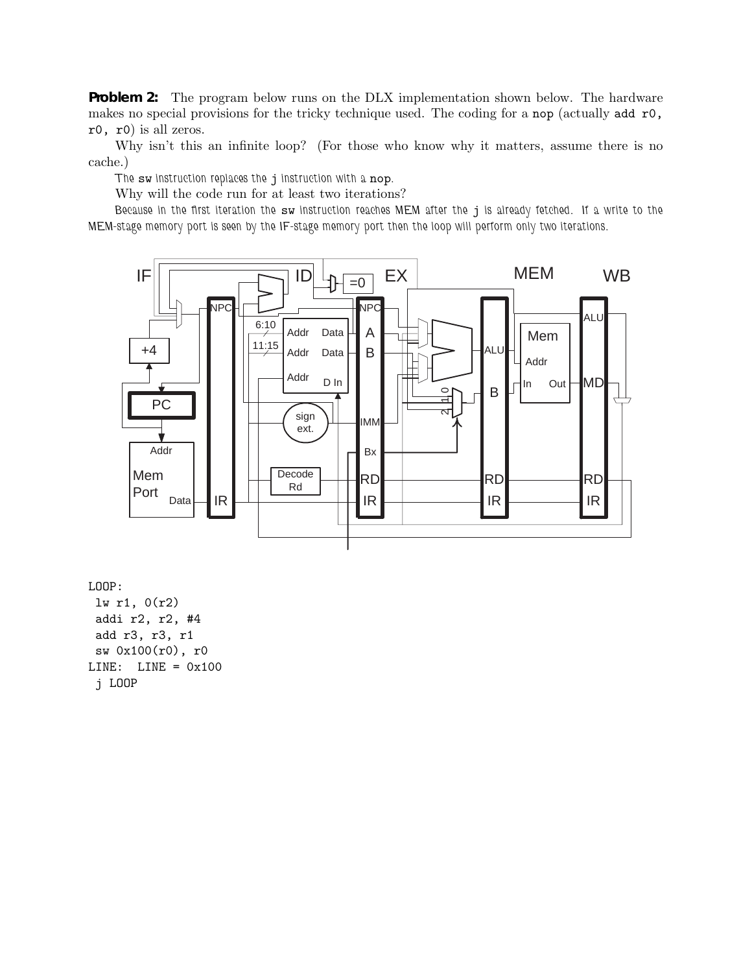**Problem 2:** The program below runs on the DLX implementation shown below. The hardware makes no special provisions for the tricky technique used. The coding for a nop (actually add r0, r0, r0) is all zeros.

Why isn't this an infinite loop? (For those who know why it matters, assume there is no cache.)

*The* sw *instruction replaces the* j *instruction with a* nop*.*

Why will the code run for at least two iterations?

*Because in the first iteration the* sw *instruction reaches MEM after the* j *is already fetched. If a write to the MEM-stage memory port is seen by the IF-stage memory port then the loop will perform only two iterations.*



LOOP:

lw r1, 0(r2) addi r2, r2, #4 add r3, r3, r1 sw 0x100(r0), r0  $LINE: LINE = 0x100$ j LOOP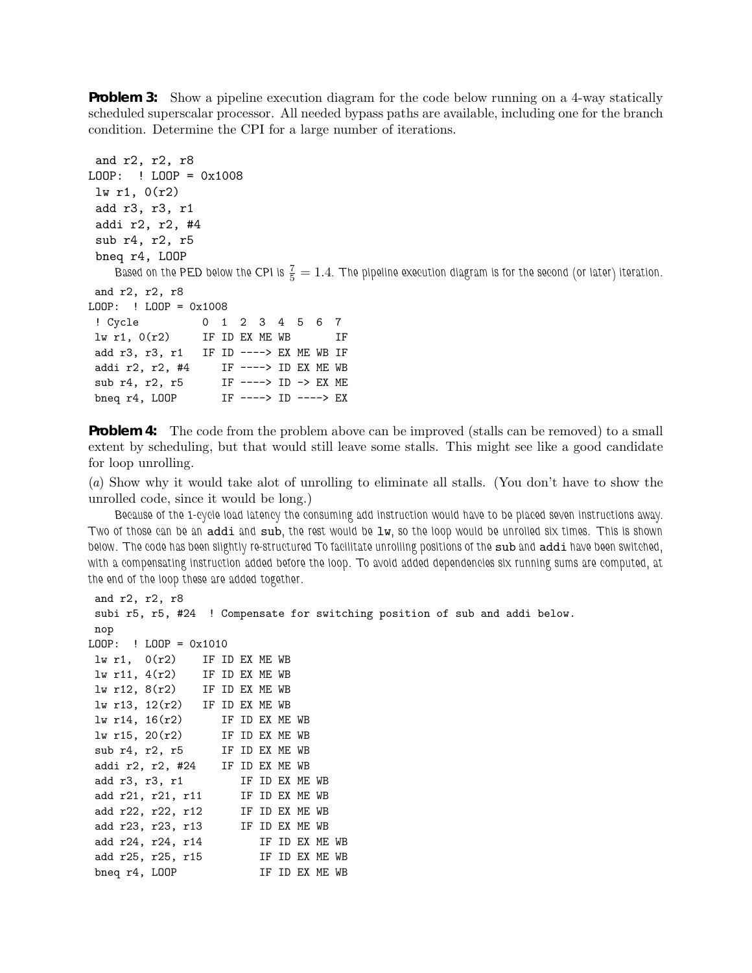**Problem 3:** Show a pipeline execution diagram for the code below running on a 4-way statically scheduled superscalar processor. All needed bypass paths are available, including one for the branch condition. Determine the CPI for a large number of iterations.

```
and r2, r2, r8
LOOP: ! LOOP = 0x1008
 lw r1, 0(r2)
add r3, r3, r1
addi r2, r2, #4
 sub r4, r2, r5
bneq r4, LOOP
    Based on the PED below the CPI is \frac{7}{5} = 1.4. The pipeline execution diagram is for the second (or later) iteration.
and r2, r2, r8
LOOP: ! LOOP = 0x1008
 ! Cycle 0 1 2 34567
\ln r1, 0(r2) IF ID EX ME WB IF
add r3, r3, r1 IF ID ----> EX ME WB IF
addi r2, r2, #4 IF ---> ID EX ME WB
sub r4, r2, r5 IF ----> ID -> EX ME
bneq r4, LOOP IF ----> ID ----> EX
```
**Problem 4:** The code from the problem above can be improved (stalls can be removed) to a small extent by scheduling, but that would still leave some stalls. This might see like a good candidate for loop unrolling.

(a) Show why it would take alot of unrolling to eliminate all stalls. (You don't have to show the unrolled code, since it would be long.)

*Because of the 1-cycle load latency the consuming add instruction would have to be placed seven instructions away. Two of those can be an* addi *and* sub*, the rest would be* lw*, so the loop would be unrolled six times. This is shown below. The code has been slightly re-structured To facilitate unrolling positions of the* sub *and* addi *have been switched, with a compensating instruction added before the loop. To avoid added dependencies six running sums are computed, at the end of the loop these are added together.*

```
and r2, r2, r8
subi r5, r5, #24 ! Compensate for switching position of sub and addi below.
nop
LOOP: ! LOOP = 0x1010
lw r1, 0(r2) IF ID EX ME WB
lw r11, 4(r2) IF ID EX ME WB
lw r12, 8(r2) IF ID EX ME WB
lw r13, 12(r2) IF ID EX ME WB
lw r14, 16(r2) IF ID EX ME WB
lw r15, 20(r2) IF ID EX ME WB
sub r4, r2, r5 IF ID EX ME WB
addi r2, r2, #24 IF ID EX ME WB
add r3, r3, r1 IF ID EX ME WB
 add r21, r21, r11 IF ID EX ME WB
 add r22, r22, r12 IF ID EX ME WB
 add r23, r23, r13 IF ID EX ME WB
add r24, r24, r14 IF ID EX ME WB<br>add r25, r25, r15 IF ID EX ME WB
add rz<del>4</del>, 121,<br>add r25, r25, r15
bneq r4, LOOP IF ID EX ME WB
```